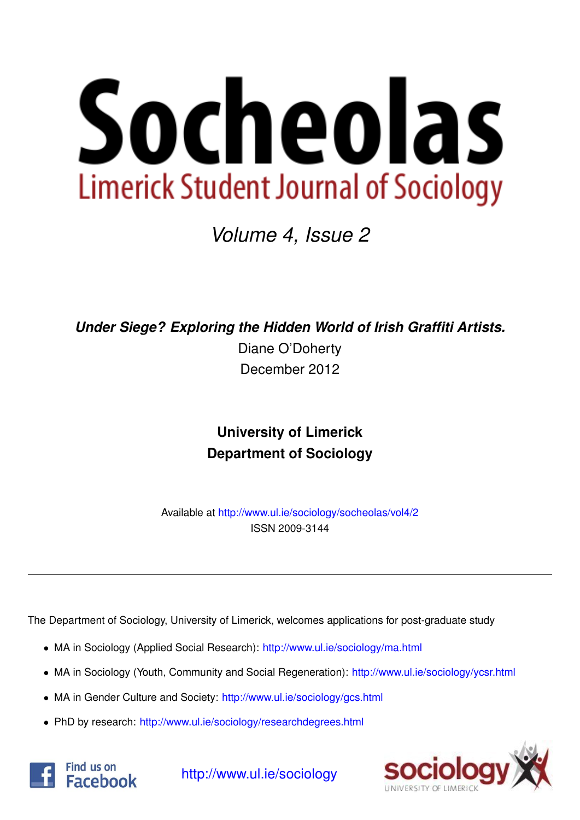

*Volume 4, Issue 2*

*Under Siege? Exploring the Hidden World of Irish Graffiti Artists.*

Diane O'Doherty December 2012

# **University of Limerick Department of Sociology**

Available at <http://www.ul.ie/sociology/socheolas/vol4/2> ISSN 2009-3144

The Department of Sociology, University of Limerick, welcomes applications for post-graduate study

- MA in Sociology (Applied Social Research): [http://www.ul.ie/sociology/ma.html](http://www.ul.ie/sociology/ma.html?source=socheolas)
- MA in Sociology (Youth, Community and Social Regeneration): [http://www.ul.ie/sociology/ycsr.html](http://www.ul.ie/sociology/ycsr.html?source=socheolas)
- MA in Gender Culture and Society: [http://www.ul.ie/sociology/gcs.html](http://www.ul.ie/sociology/gcs.html?source=socheolas)
- PhD by research: [http://www.ul.ie/sociology/researchdegrees.html](http://www.ul.ie/sociology/researchdegrees.html?source=socheolas)





[http://www.ul.ie/sociology](http://www.ul.ie/sociology/?source=socheolas)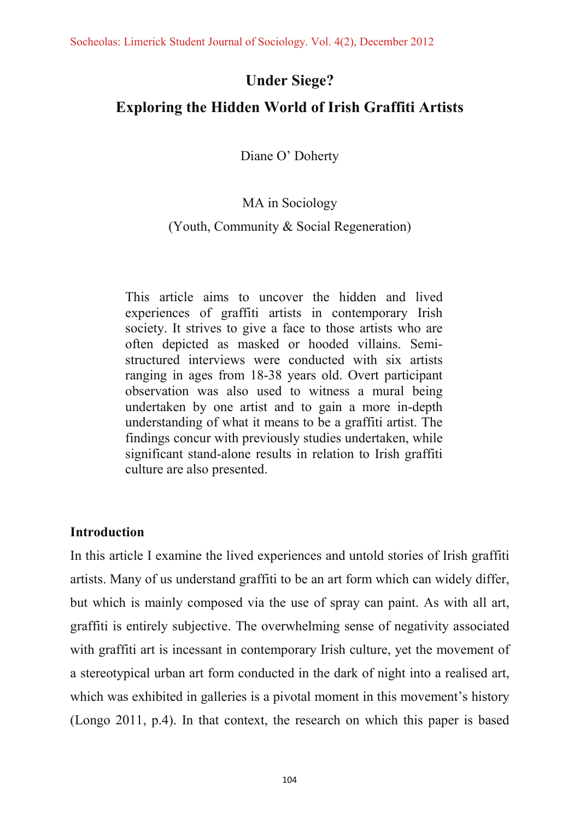# **Under Siege?**

# **Exploring the Hidden World of Irish Graffiti Artists**

Diane O' Doherty

## MA in Sociology

### (Youth, Community & Social Regeneration)

This article aims to uncover the hidden and lived experiences of graffiti artists in contemporary Irish society. It strives to give a face to those artists who are often depicted as masked or hooded villains. Semistructured interviews were conducted with six artists ranging in ages from 18-38 years old. Overt participant observation was also used to witness a mural being undertaken by one artist and to gain a more in-depth understanding of what it means to be a graffiti artist. The findings concur with previously studies undertaken, while significant stand-alone results in relation to Irish graffiti culture are also presented.

## **Introduction**

In this article I examine the lived experiences and untold stories of Irish graffiti artists. Many of us understand graffiti to be an art form which can widely differ, but which is mainly composed via the use of spray can paint. As with all art, graffiti is entirely subjective. The overwhelming sense of negativity associated with graffiti art is incessant in contemporary Irish culture, yet the movement of a stereotypical urban art form conducted in the dark of night into a realised art, which was exhibited in galleries is a pivotal moment in this movement's history (Longo 2011, p.4). In that context, the research on which this paper is based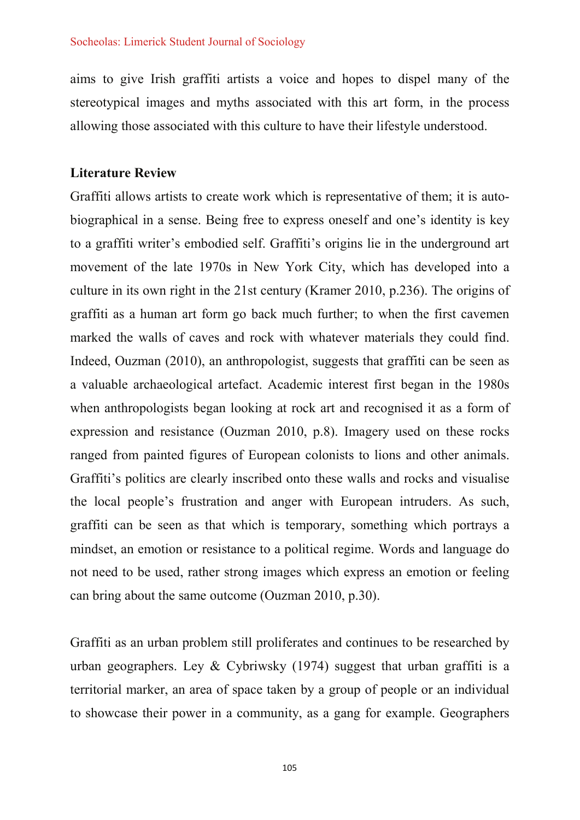aims to give Irish graffiti artists a voice and hopes to dispel many of the stereotypical images and myths associated with this art form, in the process allowing those associated with this culture to have their lifestyle understood.

### **Literature Review**

Graffiti allows artists to create work which is representative of them; it is autobiographical in a sense. Being free to express oneself and one's identity is key to a graffiti writer's embodied self. Graffiti's origins lie in the underground art movement of the late 1970s in New York City, which has developed into a culture in its own right in the 21st century (Kramer 2010, p.236). The origins of graffiti as a human art form go back much further; to when the first cavemen marked the walls of caves and rock with whatever materials they could find. Indeed, Ouzman (2010), an anthropologist, suggests that graffiti can be seen as a valuable archaeological artefact. Academic interest first began in the 1980s when anthropologists began looking at rock art and recognised it as a form of expression and resistance (Ouzman 2010, p.8). Imagery used on these rocks ranged from painted figures of European colonists to lions and other animals. Graffiti's politics are clearly inscribed onto these walls and rocks and visualise the local people's frustration and anger with European intruders. As such, graffiti can be seen as that which is temporary, something which portrays a mindset, an emotion or resistance to a political regime. Words and language do not need to be used, rather strong images which express an emotion or feeling can bring about the same outcome (Ouzman 2010, p.30).

Graffiti as an urban problem still proliferates and continues to be researched by urban geographers. Ley & Cybriwsky  $(1974)$  suggest that urban graffiti is a territorial marker, an area of space taken by a group of people or an individual to showcase their power in a community, as a gang for example. Geographers

105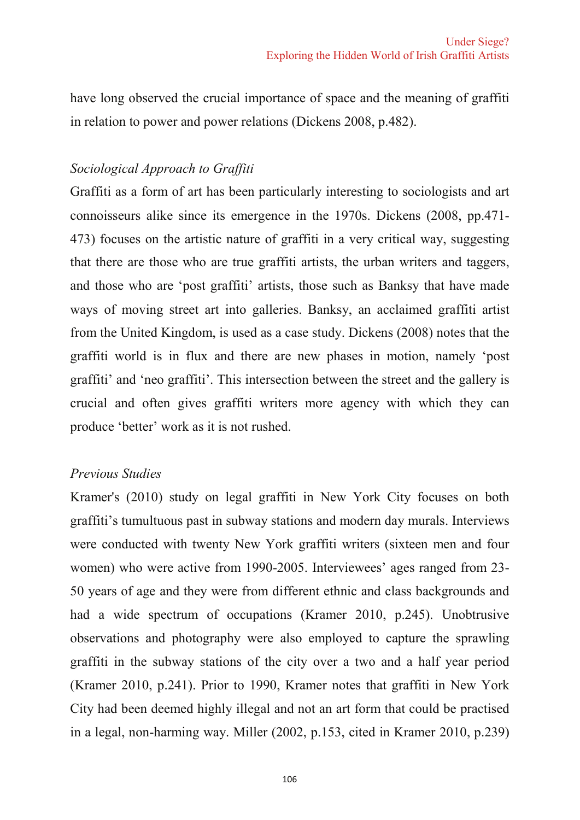have long observed the crucial importance of space and the meaning of graffiti in relation to power and power relations (Dickens 2008, p.482).

## Sociological Approach to Graffiti

Graffiti as a form of art has been particularly interesting to sociologists and art connoisseurs alike since its emergence in the 1970s. Dickens (2008, pp.471-473) focuses on the artistic nature of graffiti in a very critical way, suggesting that there are those who are true graffiti artists, the urban writers and taggers, and those who are 'post graffiti' artists, those such as Banksy that have made ways of moving street art into galleries. Banksy, an acclaimed graffiti artist from the United Kingdom, is used as a case study. Dickens (2008) notes that the graffiti world is in flux and there are new phases in motion, namely 'post graffiti' and 'neo graffiti'. This intersection between the street and the gallery is crucial and often gives graffiti writers more agency with which they can produce 'better' work as it is not rushed.

#### **Previous Studies**

Kramer's (2010) study on legal graffiti in New York City focuses on both graffiti's tumultuous past in subway stations and modern day murals. Interviews were conducted with twenty New York graffiti writers (sixteen men and four women) who were active from 1990-2005. Interviewees' ages ranged from 23-50 years of age and they were from different ethnic and class backgrounds and had a wide spectrum of occupations (Kramer 2010, p.245). Unobtrusive observations and photography were also employed to capture the sprawling graffiti in the subway stations of the city over a two and a half year period (Kramer 2010, p.241). Prior to 1990, Kramer notes that graffiti in New York City had been deemed highly illegal and not an art form that could be practised in a legal, non-harming way. Miller (2002, p.153, cited in Kramer 2010, p.239)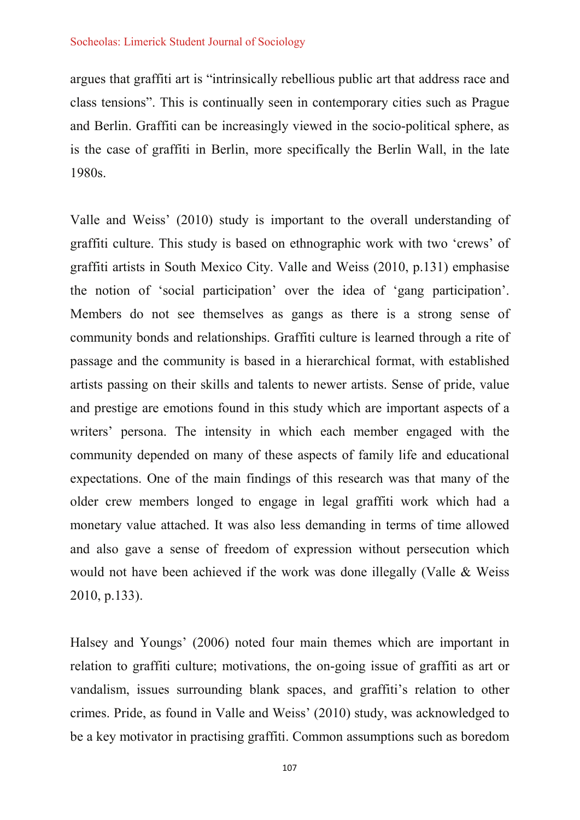argues that graffiti art is "intrinsically rebellious public art that address race and class tensions". This is continually seen in contemporary cities such as Prague and Berlin. Graffiti can be increasingly viewed in the socio-political sphere, as is the case of graffiti in Berlin, more specifically the Berlin Wall, in the late 1980s.

Valle and Weiss' (2010) study is important to the overall understanding of graffiti culture. This study is based on ethnographic work with two 'crews' of graffiti artists in South Mexico City. Valle and Weiss (2010, p.131) emphasise the notion of 'social participation' over the idea of 'gang participation'. Members do not see themselves as gangs as there is a strong sense of community bonds and relationships. Graffiti culture is learned through a rite of passage and the community is based in a hierarchical format, with established artists passing on their skills and talents to newer artists. Sense of pride, value and prestige are emotions found in this study which are important aspects of a writers' persona. The intensity in which each member engaged with the community depended on many of these aspects of family life and educational expectations. One of the main findings of this research was that many of the older crew members longed to engage in legal graffiti work which had a monetary value attached. It was also less demanding in terms of time allowed and also gave a sense of freedom of expression without persecution which would not have been achieved if the work was done illegally (Valle & Weiss  $2010$ , p.133).

Halsey and Youngs' (2006) noted four main themes which are important in relation to graffiti culture; motivations, the on-going issue of graffiti as art or vandalism, issues surrounding blank spaces, and graffiti's relation to other crimes. Pride, as found in Valle and Weiss' (2010) study, was acknowledged to be a key motivator in practising graffiti. Common assumptions such as boredom

107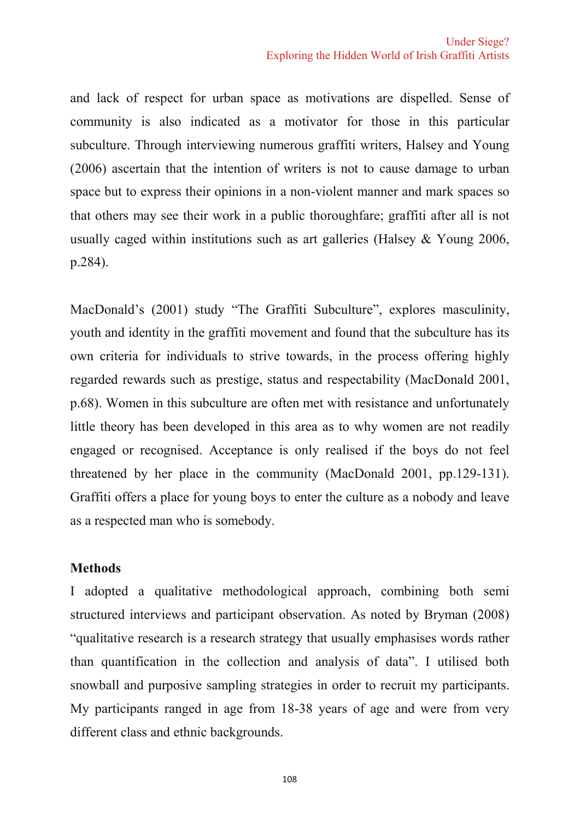and lack of respect for urban space as motivations are dispelled. Sense of community is also indicated as a motivator for those in this particular subculture. Through interviewing numerous graffiti writers, Halsey and Young (2006) ascertain that the intention of writers is not to cause damage to urban space but to express their opinions in a non-violent manner and mark spaces so that others may see their work in a public thoroughfare; graffiti after all is not usually caged within institutions such as art galleries (Halsey  $&$  Young 2006,  $p.284$ ).

MacDonald's (2001) study "The Graffiti Subculture", explores masculinity, youth and identity in the graffiti movement and found that the subculture has its own criteria for individuals to strive towards, in the process offering highly regarded rewards such as prestige, status and respectability (MacDonald 2001, p.68). Women in this subculture are often met with resistance and unfortunately little theory has been developed in this area as to why women are not readily engaged or recognised. Acceptance is only realised if the boys do not feel threatened by her place in the community (MacDonald 2001, pp.129-131). Graffiti offers a place for young boys to enter the culture as a nobody and leave as a respected man who is somebody.

#### **Methods**

I adopted a qualitative methodological approach, combining both semi structured interviews and participant observation. As noted by Bryman (2008) "qualitative research is a research strategy that usually emphasises words rather than quantification in the collection and analysis of data". I utilised both snowball and purposive sampling strategies in order to recruit my participants. My participants ranged in age from 18-38 years of age and were from very different class and ethnic backgrounds.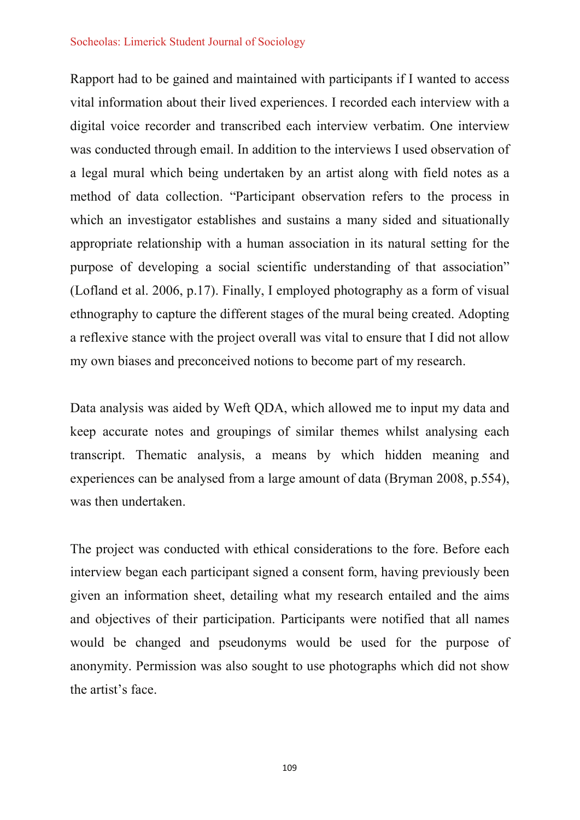Rapport had to be gained and maintained with participants if I wanted to access vital information about their lived experiences. I recorded each interview with a digital voice recorder and transcribed each interview verbatim. One interview was conducted through email. In addition to the interviews I used observation of a legal mural which being undertaken by an artist along with field notes as a method of data collection. "Participant observation refers to the process in which an investigator establishes and sustains a many sided and situationally appropriate relationship with a human association in its natural setting for the purpose of developing a social scientific understanding of that association" (Lofland et al. 2006, p.17). Finally, I employed photography as a form of visual ethnography to capture the different stages of the mural being created. Adopting a reflexive stance with the project overall was vital to ensure that I did not allow my own biases and preconceived notions to become part of my research.

Data analysis was aided by Weft QDA, which allowed me to input my data and keep accurate notes and groupings of similar themes whilst analysing each transcript. Thematic analysis, a means by which hidden meaning and experiences can be analysed from a large amount of data (Bryman 2008, p.554), was then undertaken.

The project was conducted with ethical considerations to the fore. Before each interview began each participant signed a consent form, having previously been given an information sheet, detailing what my research entailed and the aims and objectives of their participation. Participants were notified that all names would be changed and pseudonyms would be used for the purpose of anonymity. Permission was also sought to use photographs which did not show the artist's face.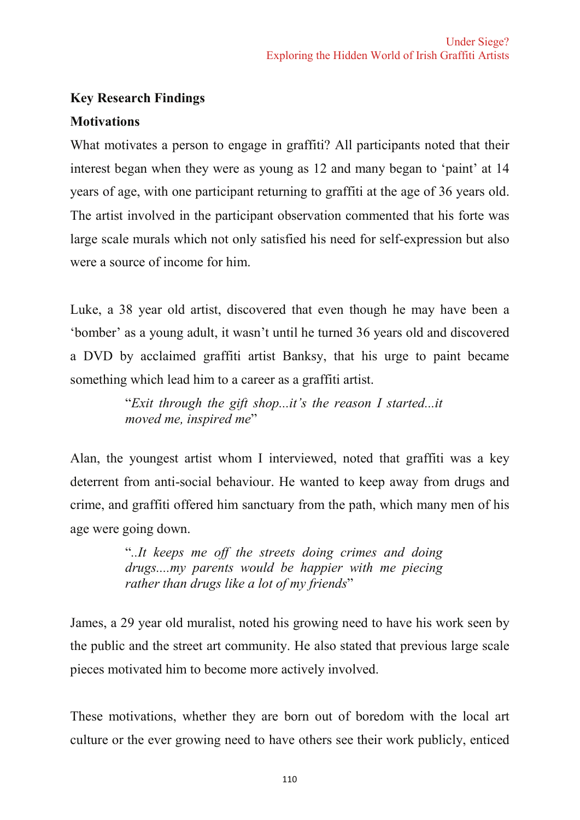# **Key Research Findings**

# **Motivations**

What motivates a person to engage in graffiti? All participants noted that their interest began when they were as young as 12 and many began to 'paint' at 14 years of age, with one participant returning to graffiti at the age of 36 years old. The artist involved in the participant observation commented that his forte was large scale murals which not only satisfied his need for self-expression but also were a source of income for him

Luke, a 38 year old artist, discovered that even though he may have been a 'bomber' as a young adult, it wasn't until he turned 36 years old and discovered a DVD by acclaimed graffiti artist Banksy, that his urge to paint became something which lead him to a career as a graffiti artist.

> "Exit through the gift shop...it's the reason I started...it moved me, inspired me"

Alan, the youngest artist whom I interviewed, noted that graffiti was a key deterrent from anti-social behaviour. He wanted to keep away from drugs and crime, and graffiti offered him sanctuary from the path, which many men of his age were going down.

> "...It keeps me off the streets doing crimes and doing drugs....my parents would be happier with me piecing rather than drugs like a lot of my friends"

James, a 29 year old muralist, noted his growing need to have his work seen by the public and the street art community. He also stated that previous large scale pieces motivated him to become more actively involved.

These motivations, whether they are born out of boredom with the local art culture or the ever growing need to have others see their work publicly, enticed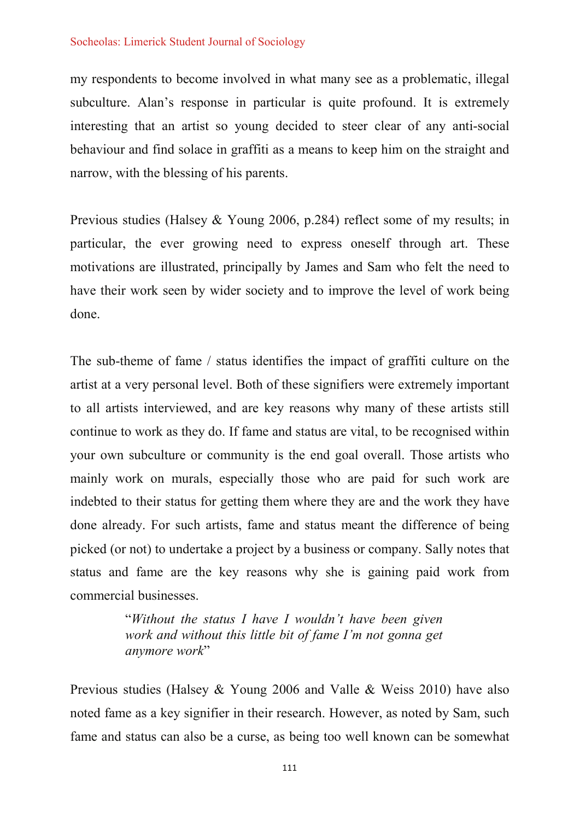my respondents to become involved in what many see as a problematic, illegal subculture. Alan's response in particular is quite profound. It is extremely interesting that an artist so young decided to steer clear of any anti-social behaviour and find solace in graffiti as a means to keep him on the straight and narrow, with the blessing of his parents.

Previous studies (Halsey & Young 2006, p.284) reflect some of my results; in particular, the ever growing need to express oneself through art. These motivations are illustrated, principally by James and Sam who felt the need to have their work seen by wider society and to improve the level of work being done.

The sub-theme of fame / status identifies the impact of graffiti culture on the artist at a very personal level. Both of these signifiers were extremely important to all artists interviewed, and are key reasons why many of these artists still continue to work as they do. If fame and status are vital, to be recognised within your own subculture or community is the end goal overall. Those artists who mainly work on murals, especially those who are paid for such work are indebted to their status for getting them where they are and the work they have done already. For such artists, fame and status meant the difference of being picked (or not) to undertake a project by a business or company. Sally notes that status and fame are the key reasons why she is gaining paid work from commercial businesses

> "Without the status I have I wouldn't have been given work and without this little bit of fame I'm not gonna get anymore work"

Previous studies (Halsey & Young 2006 and Valle & Weiss 2010) have also noted fame as a key signifier in their research. However, as noted by Sam, such fame and status can also be a curse, as being too well known can be somewhat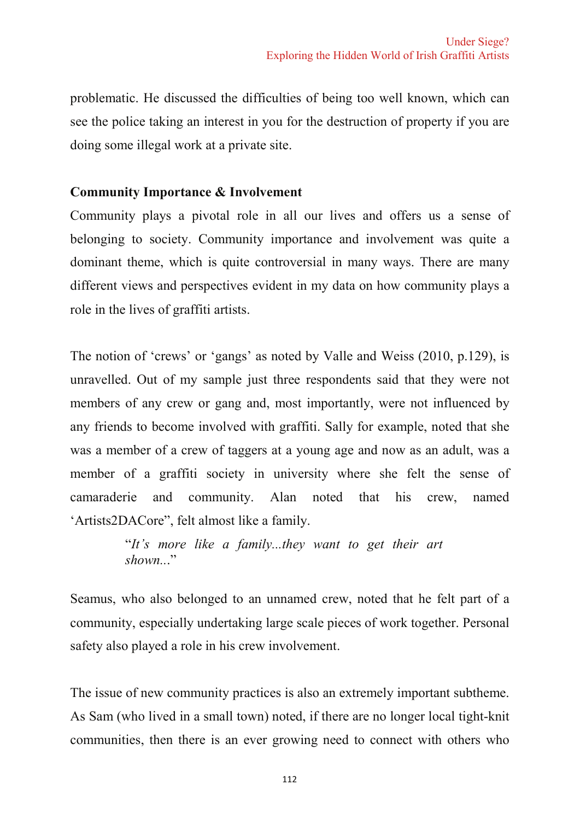problematic. He discussed the difficulties of being too well known, which can see the police taking an interest in you for the destruction of property if you are doing some illegal work at a private site.

### **Community Importance & Involvement**

Community plays a pivotal role in all our lives and offers us a sense of belonging to society. Community importance and involvement was quite a dominant theme, which is quite controversial in many ways. There are many different views and perspectives evident in my data on how community plays a role in the lives of graffiti artists.

The notion of 'crews' or 'gangs' as noted by Valle and Weiss (2010, p.129), is unravelled. Out of my sample just three respondents said that they were not members of any crew or gang and, most importantly, were not influenced by any friends to become involved with graffiti. Sally for example, noted that she was a member of a crew of taggers at a young age and now as an adult, was a member of a graffiti society in university where she felt the sense of camaraderie and community. Alan noted that his crew. named 'Artists2DACore", felt almost like a family.

> "It's more like a family...they want to get their art  $shown$ ...

Seamus, who also belonged to an unnamed crew, noted that he felt part of a community, especially undertaking large scale pieces of work together. Personal safety also played a role in his crew involvement.

The issue of new community practices is also an extremely important subtheme. As Sam (who lived in a small town) noted, if there are no longer local tight-knit communities, then there is an ever growing need to connect with others who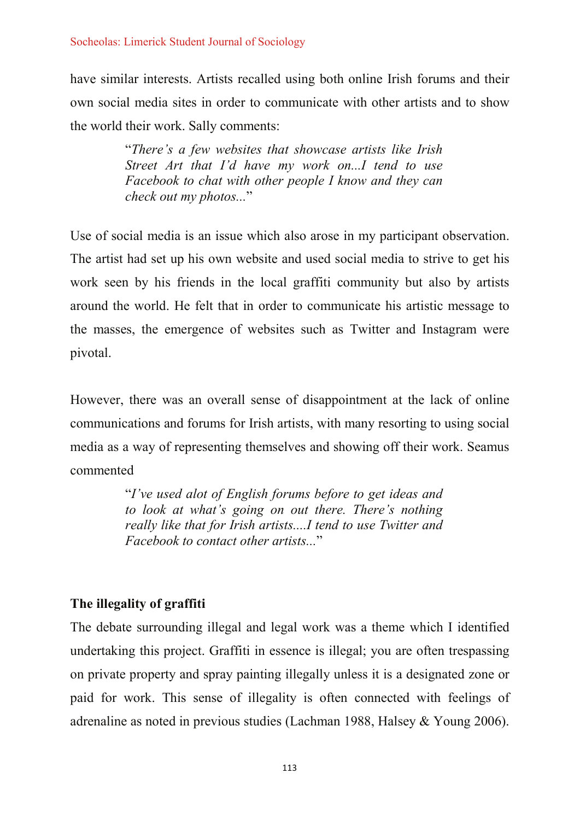have similar interests. Artists recalled using both online Irish forums and their own social media sites in order to communicate with other artists and to show the world their work. Sally comments:

> "There's a few websites that showcase artists like Irish Street Art that I'd have my work on...I tend to use Facebook to chat with other people I know and they can check out my photos..."

Use of social media is an issue which also arose in my participant observation. The artist had set up his own website and used social media to strive to get his work seen by his friends in the local graffiti community but also by artists around the world. He felt that in order to communicate his artistic message to the masses, the emergence of websites such as Twitter and Instagram were pivotal.

However, there was an overall sense of disappointment at the lack of online communications and forums for Irish artists, with many resorting to using social media as a way of representing themselves and showing off their work. Seamus commented

> "I've used alot of English forums before to get ideas and to look at what's going on out there. There's nothing really like that for Irish artists....I tend to use Twitter and Facebook to contact other artists "

# The illegality of graffiti

The debate surrounding illegal and legal work was a theme which I identified undertaking this project. Graffiti in essence is illegal; you are often trespassing on private property and spray painting illegally unless it is a designated zone or paid for work. This sense of illegality is often connected with feelings of adrenaline as noted in previous studies (Lachman 1988, Halsey & Young 2006).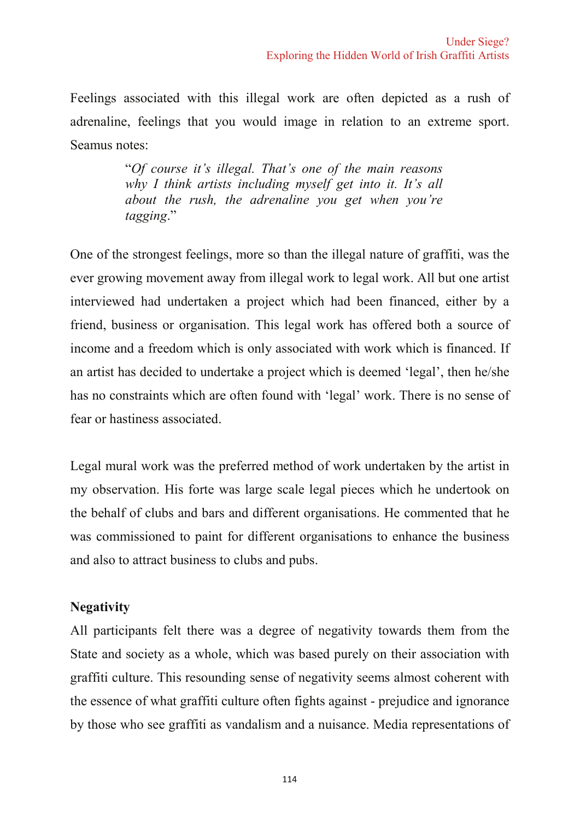Feelings associated with this illegal work are often depicted as a rush of adrenaline, feelings that you would image in relation to an extreme sport. Seamus notes:

> "Of course it's illegal. That's one of the main reasons why I think artists including myself get into it. It's all about the rush, the adrenaline vou get when you're tagging."

One of the strongest feelings, more so than the illegal nature of graffiti, was the ever growing movement away from illegal work to legal work. All but one artist interviewed had undertaken a project which had been financed, either by a friend, business or organisation. This legal work has offered both a source of income and a freedom which is only associated with work which is financed. If an artist has decided to undertake a project which is deemed 'legal', then he/she has no constraints which are often found with 'legal' work. There is no sense of fear or hastiness associated

Legal mural work was the preferred method of work undertaken by the artist in my observation. His forte was large scale legal pieces which he undertook on the behalf of clubs and bars and different organisations. He commented that he was commissioned to paint for different organisations to enhance the business and also to attract business to clubs and pubs.

# **Negativity**

All participants felt there was a degree of negativity towards them from the State and society as a whole, which was based purely on their association with graffiti culture. This resounding sense of negativity seems almost coherent with the essence of what graffiti culture often fights against - prejudice and ignorance by those who see graffiti as vandalism and a nuisance. Media representations of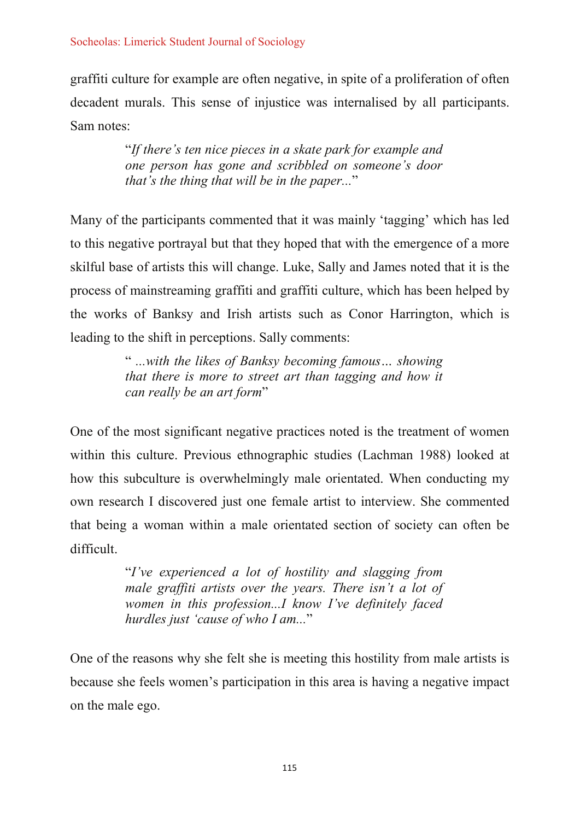graffiti culture for example are often negative, in spite of a proliferation of often decadent murals. This sense of injustice was internalised by all participants. Sam notes:

> "If there's ten nice pieces in a skate park for example and one person has gone and scribbled on someone's door that's the thing that will be in the paper..."

Many of the participants commented that it was mainly 'tagging' which has led to this negative portrayal but that they hoped that with the emergence of a more skilful base of artists this will change. Luke, Sally and James noted that it is the process of mainstreaming graffiti and graffiti culture, which has been helped by the works of Banksy and Irish artists such as Conor Harrington, which is leading to the shift in perceptions. Sally comments:

> "...with the likes of Banksy becoming famous... showing that there is more to street art than tagging and how it can really be an art form"

One of the most significant negative practices noted is the treatment of women within this culture. Previous ethnographic studies (Lachman 1988) looked at how this subculture is overwhelmingly male orientated. When conducting my own research I discovered just one female artist to interview. She commented that being a woman within a male orientated section of society can often be difficult.

> "I've experienced a lot of hostility and slagging from male graffiti artists over the years. There isn't a lot of women in this profession...I know I've definitely faced hurdles just 'cause of who I am..."

One of the reasons why she felt she is meeting this hostility from male artists is because she feels women's participation in this area is having a negative impact on the male ego.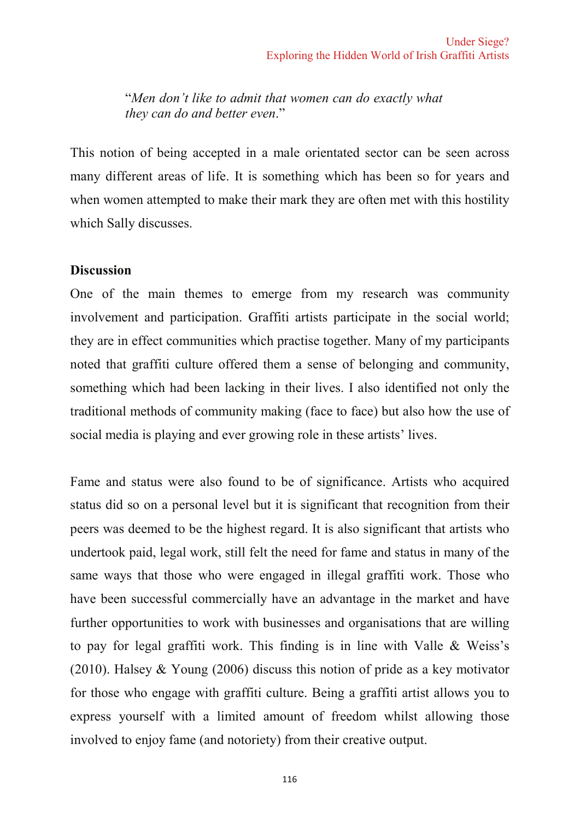"Men don't like to admit that women can do exactly what they can do and better even."

This notion of being accepted in a male orientated sector can be seen across many different areas of life. It is something which has been so for years and when women attempted to make their mark they are often met with this hostility which Sally discusses.

#### **Discussion**

One of the main themes to emerge from my research was community involvement and participation. Graffiti artists participate in the social world; they are in effect communities which practise together. Many of my participants noted that graffiti culture offered them a sense of belonging and community, something which had been lacking in their lives. I also identified not only the traditional methods of community making (face to face) but also how the use of social media is playing and ever growing role in these artists' lives.

Fame and status were also found to be of significance. Artists who acquired status did so on a personal level but it is significant that recognition from their peers was deemed to be the highest regard. It is also significant that artists who undertook paid, legal work, still felt the need for fame and status in many of the same ways that those who were engaged in illegal graffiti work. Those who have been successful commercially have an advantage in the market and have further opportunities to work with businesses and organisations that are willing to pay for legal graffiti work. This finding is in line with Valle & Weiss's  $(2010)$ . Halsey & Young  $(2006)$  discuss this notion of pride as a key motivator for those who engage with graffiti culture. Being a graffiti artist allows you to express yourself with a limited amount of freedom whilst allowing those involved to enjoy fame (and notoriety) from their creative output.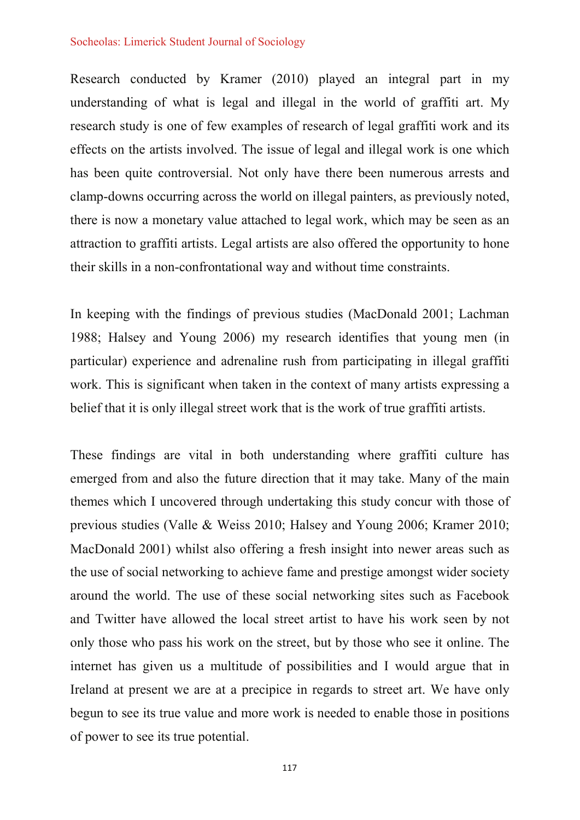Research conducted by Kramer (2010) played an integral part in my understanding of what is legal and illegal in the world of graffiti art. My research study is one of few examples of research of legal graffiti work and its effects on the artists involved. The issue of legal and illegal work is one which has been quite controversial. Not only have there been numerous arrests and clamp-downs occurring across the world on illegal painters, as previously noted, there is now a monetary value attached to legal work, which may be seen as an attraction to graffiti artists. Legal artists are also offered the opportunity to hone their skills in a non-confrontational way and without time constraints.

In keeping with the findings of previous studies (MacDonald 2001; Lachman 1988; Halsey and Young 2006) my research identifies that young men (in particular) experience and adrenaline rush from participating in illegal graffiti work. This is significant when taken in the context of many artists expressing a belief that it is only illegal street work that is the work of true graffiti artists.

These findings are vital in both understanding where graffiti culture has emerged from and also the future direction that it may take. Many of the main themes which I uncovered through undertaking this study concur with those of previous studies (Valle & Weiss 2010; Halsey and Young 2006; Kramer 2010; MacDonald 2001) whilst also offering a fresh insight into newer areas such as the use of social networking to achieve fame and prestige amongst wider society around the world. The use of these social networking sites such as Facebook and Twitter have allowed the local street artist to have his work seen by not only those who pass his work on the street, but by those who see it online. The internet has given us a multitude of possibilities and I would argue that in Ireland at present we are at a precipice in regards to street art. We have only begun to see its true value and more work is needed to enable those in positions of power to see its true potential.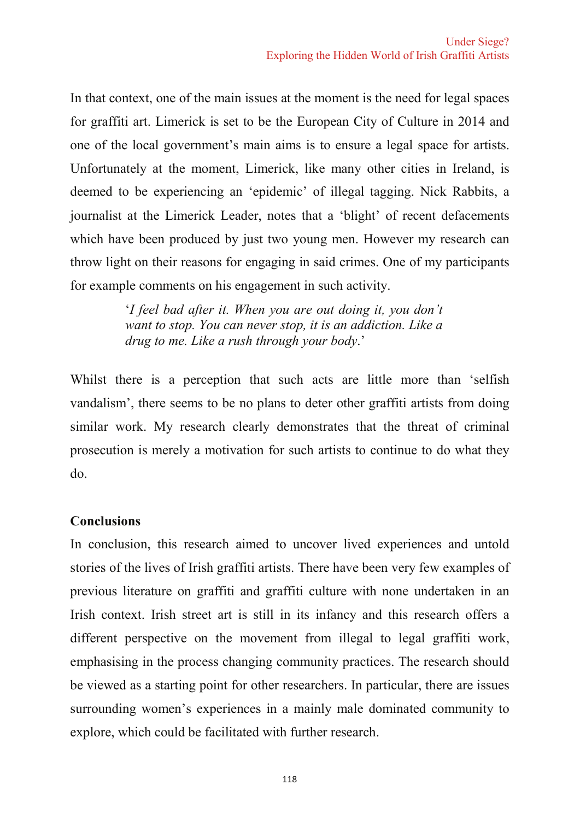In that context, one of the main issues at the moment is the need for legal spaces for graffiti art. Limerick is set to be the European City of Culture in 2014 and one of the local government's main aims is to ensure a legal space for artists. Unfortunately at the moment, Limerick, like many other cities in Ireland, is deemed to be experiencing an 'epidemic' of illegal tagging. Nick Rabbits, a journalist at the Limerick Leader, notes that a 'blight' of recent defacements which have been produced by just two young men. However my research can throw light on their reasons for engaging in said crimes. One of my participants for example comments on his engagement in such activity.

> 'I feel bad after it. When you are out doing it, you don't want to stop. You can never stop, it is an addiction. Like a drug to me. Like a rush through your body.'

Whilst there is a perception that such acts are little more than 'selfish vandalism', there seems to be no plans to deter other graffiti artists from doing similar work. My research clearly demonstrates that the threat of criminal prosecution is merely a motivation for such artists to continue to do what they  $d\rho$ .

# **Conclusions**

In conclusion, this research aimed to uncover lived experiences and untold stories of the lives of Irish graffiti artists. There have been very few examples of previous literature on graffiti and graffiti culture with none undertaken in an Irish context. Irish street art is still in its infancy and this research offers a different perspective on the movement from illegal to legal graffiti work, emphasising in the process changing community practices. The research should be viewed as a starting point for other researchers. In particular, there are issues surrounding women's experiences in a mainly male dominated community to explore, which could be facilitated with further research.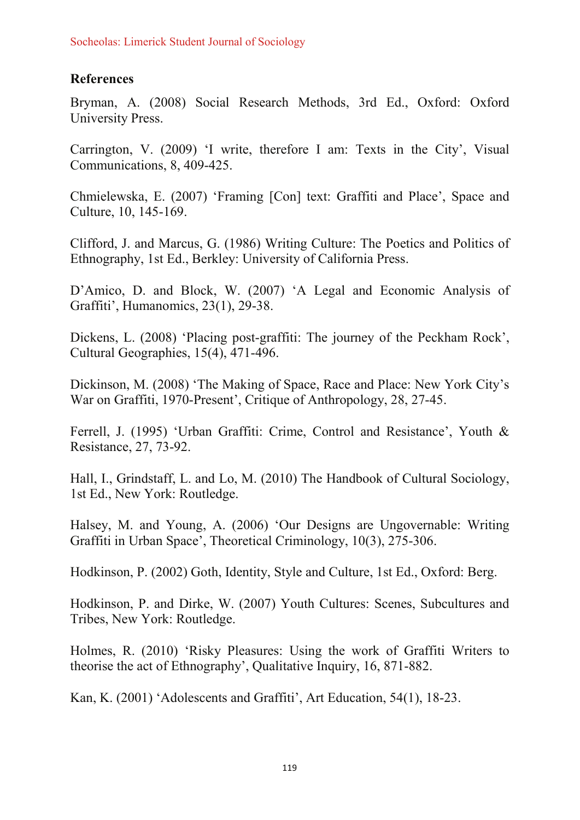# **References**

Bryman, A. (2008) Social Research Methods, 3rd Ed., Oxford: Oxford University Press.

Carrington, V. (2009) 'I write, therefore I am: Texts in the City', Visual Communications, 8, 409-425.

Chmielewska, E. (2007) 'Framing [Con] text: Graffiti and Place', Space and Culture, 10, 145-169.

Clifford, J. and Marcus, G. (1986) Writing Culture: The Poetics and Politics of Ethnography, 1st Ed., Berkley: University of California Press.

D'Amico, D. and Block, W. (2007) 'A Legal and Economic Analysis of Graffiti', Humanomics, 23(1), 29-38.

Dickens, L. (2008) 'Placing post-graffiti: The journey of the Peckham Rock', Cultural Geographies, 15(4), 471-496.

Dickinson, M. (2008) 'The Making of Space, Race and Place: New York City's War on Graffiti, 1970-Present', Critique of Anthropology, 28, 27-45.

Ferrell, J. (1995) 'Urban Graffiti: Crime, Control and Resistance', Youth & Resistance, 27, 73-92.

Hall, I., Grindstaff, L. and Lo, M. (2010) The Handbook of Cultural Sociology, 1st Ed., New York: Routledge.

Halsey, M. and Young, A. (2006) 'Our Designs are Ungovernable: Writing Graffiti in Urban Space', Theoretical Criminology, 10(3), 275-306.

Hodkinson, P. (2002) Goth, Identity, Style and Culture, 1st Ed., Oxford: Berg.

Hodkinson, P. and Dirke, W. (2007) Youth Cultures: Scenes, Subcultures and Tribes, New York: Routledge.

Holmes, R. (2010) 'Risky Pleasures: Using the work of Graffiti Writers to theorise the act of Ethnography', Qualitative Inquiry, 16, 871-882.

Kan, K. (2001) 'Adolescents and Graffiti'. Art Education, 54(1), 18-23.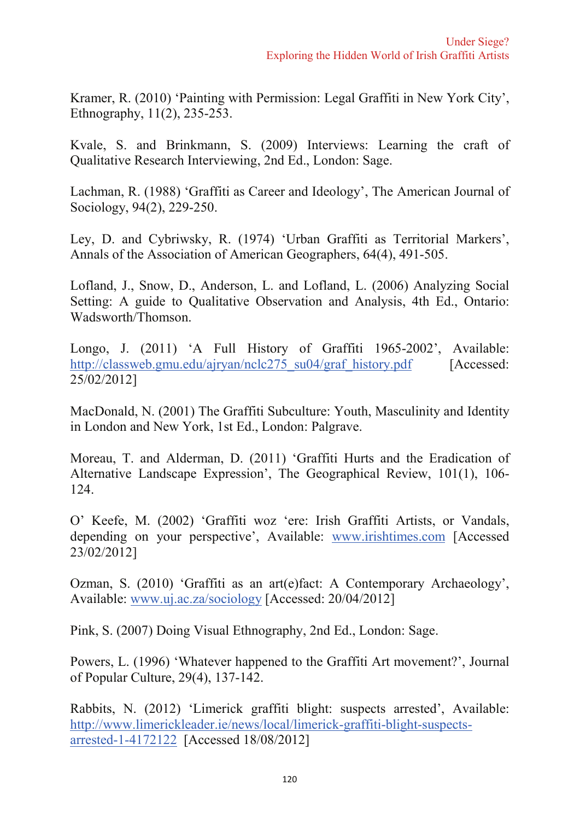Kramer, R. (2010) 'Painting with Permission: Legal Graffiti in New York City', Ethnography, 11(2), 235-253.

Kvale, S. and Brinkmann, S. (2009) Interviews: Learning the craft of Qualitative Research Interviewing, 2nd Ed., London: Sage.

Lachman, R. (1988) 'Graffiti as Career and Ideology', The American Journal of Sociology, 94(2), 229-250.

Ley, D. and Cybriwsky, R. (1974) 'Urban Graffiti as Territorial Markers', Annals of the Association of American Geographers, 64(4), 491-505.

Lofland, J., Snow, D., Anderson, L. and Lofland, L. (2006) Analyzing Social Setting: A guide to Qualitative Observation and Analysis, 4th Ed., Ontario: Wadsworth/Thomson.

Longo, J. (2011) 'A Full History of Graffiti 1965-2002'. Available: http://classweb.gmu.edu/ajryan/nclc275 su04/graf history.pdf [Accessed:  $25/02/2012$ ]

MacDonald, N. (2001) The Graffiti Subculture: Youth, Masculinity and Identity in London and New York, 1st Ed., London: Palgrave.

Moreau, T. and Alderman, D. (2011) 'Graffiti Hurts and the Eradication of Alternative Landscape Expression', The Geographical Review, 101(1), 106-124.

O' Keefe, M. (2002) 'Graffiti woz 'ere: Irish Graffiti Artists, or Vandals, depending on your perspective', Available: www.irishtimes.com [Accessed]  $23/02/2012$ ]

Ozman, S. (2010) 'Graffiti as an art(e)fact: A Contemporary Archaeology'. Available: www.uj.ac.za/sociology [Accessed: 20/04/2012]

Pink, S. (2007) Doing Visual Ethnography, 2nd Ed., London: Sage.

Powers, L. (1996) 'Whatever happened to the Graffiti Art movement?', Journal of Popular Culture, 29(4), 137-142.

Rabbits, N. (2012) 'Limerick graffiti blight: suspects arrested', Available: http://www.limerickleader.ie/news/local/limerick-graffiti-blight-suspectsarrested-1-4172122 [Accessed 18/08/2012]